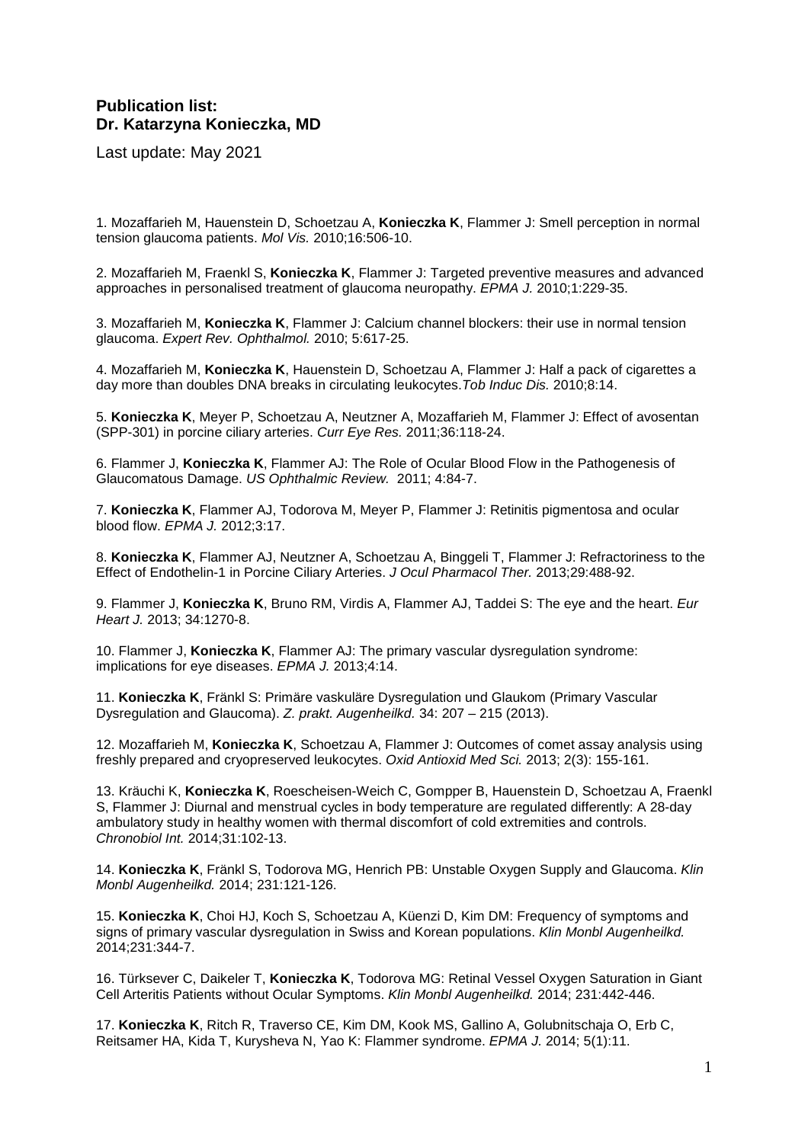## **Publication list: Dr. Katarzyna Konieczka, MD**

Last update: May 2021

1. Mozaffarieh M, Hauenstein D, Schoetzau A, **Konieczka K**, Flammer J: Smell perception in normal tension glaucoma patients. Mol Vis. 2010;16:506-10.

2. Mozaffarieh M, Fraenkl S, **Konieczka K**, Flammer J: Targeted preventive measures and advanced approaches in personalised treatment of glaucoma neuropathy. EPMA J. 2010;1:229-35.

3. Mozaffarieh M, **Konieczka K**, Flammer J: Calcium channel blockers: their use in normal tension glaucoma. Expert Rev. Ophthalmol. 2010; 5:617-25.

4. Mozaffarieh M, **Konieczka K**, Hauenstein D, Schoetzau A, Flammer J: Half a pack of cigarettes a day more than doubles DNA breaks in circulating leukocytes.Tob Induc Dis. 2010;8:14.

5. **Konieczka K**, Meyer P, Schoetzau A, Neutzner A, Mozaffarieh M, Flammer J: Effect of avosentan (SPP-301) in porcine ciliary arteries. Curr Eye Res. 2011;36:118-24.

6. Flammer J, **Konieczka K**, Flammer AJ: The Role of Ocular Blood Flow in the Pathogenesis of Glaucomatous Damage. US Ophthalmic Review. 2011; 4:84-7.

7. **Konieczka K**, Flammer AJ, Todorova M, Meyer P, Flammer J: Retinitis pigmentosa and ocular blood flow. EPMA J. 2012;3:17.

8. **Konieczka K**, Flammer AJ, Neutzner A, Schoetzau A, Binggeli T, Flammer J: Refractoriness to the Effect of Endothelin-1 in Porcine Ciliary Arteries. J Ocul Pharmacol Ther. 2013;29:488-92.

9. Flammer J, **Konieczka K**, Bruno RM, Virdis A, Flammer AJ, Taddei S: The eye and the heart. Eur Heart J. 2013; 34:1270-8.

10. Flammer J, **Konieczka K**, Flammer AJ: The primary vascular dysregulation syndrome: implications for eye diseases. EPMA J. 2013;4:14.

11. **Konieczka K**, Fränkl S: Primäre vaskuläre Dysregulation und Glaukom (Primary Vascular Dysregulation and Glaucoma). Z. prakt. Augenheilkd. 34: 207 – 215 (2013).

12. Mozaffarieh M, **Konieczka K**, Schoetzau A, Flammer J: Outcomes of comet assay analysis using freshly prepared and cryopreserved leukocytes. Oxid Antioxid Med Sci. 2013; 2(3): 155-161.

13. Kräuchi K, **Konieczka K**, Roescheisen-Weich C, Gompper B, Hauenstein D, Schoetzau A, Fraenkl S, Flammer J: Diurnal and menstrual cycles in body temperature are regulated differently: A 28-day ambulatory study in healthy women with thermal discomfort of cold extremities and controls. Chronobiol Int. 2014;31:102-13.

14. **Konieczka K**, Fränkl S, Todorova MG, Henrich PB: Unstable Oxygen Supply and Glaucoma. Klin Monbl Augenheilkd. 2014; 231:121-126.

15. **Konieczka K**, Choi HJ, Koch S, Schoetzau A, Küenzi D, Kim DM: Frequency of symptoms and signs of primary vascular dysregulation in Swiss and Korean populations. Klin Monbl Augenheilkd. 2014;231:344-7.

16. Türksever C, Daikeler T, **Konieczka K**, Todorova MG: Retinal Vessel Oxygen Saturation in Giant Cell Arteritis Patients without Ocular Symptoms. Klin Monbl Augenheilkd. 2014; 231:442-446.

17. **Konieczka K**, Ritch R, Traverso CE, Kim DM, Kook MS, Gallino A, Golubnitschaja O, Erb C, Reitsamer HA, Kida T, Kurysheva N, Yao K: Flammer syndrome. EPMA J. 2014; 5(1):11.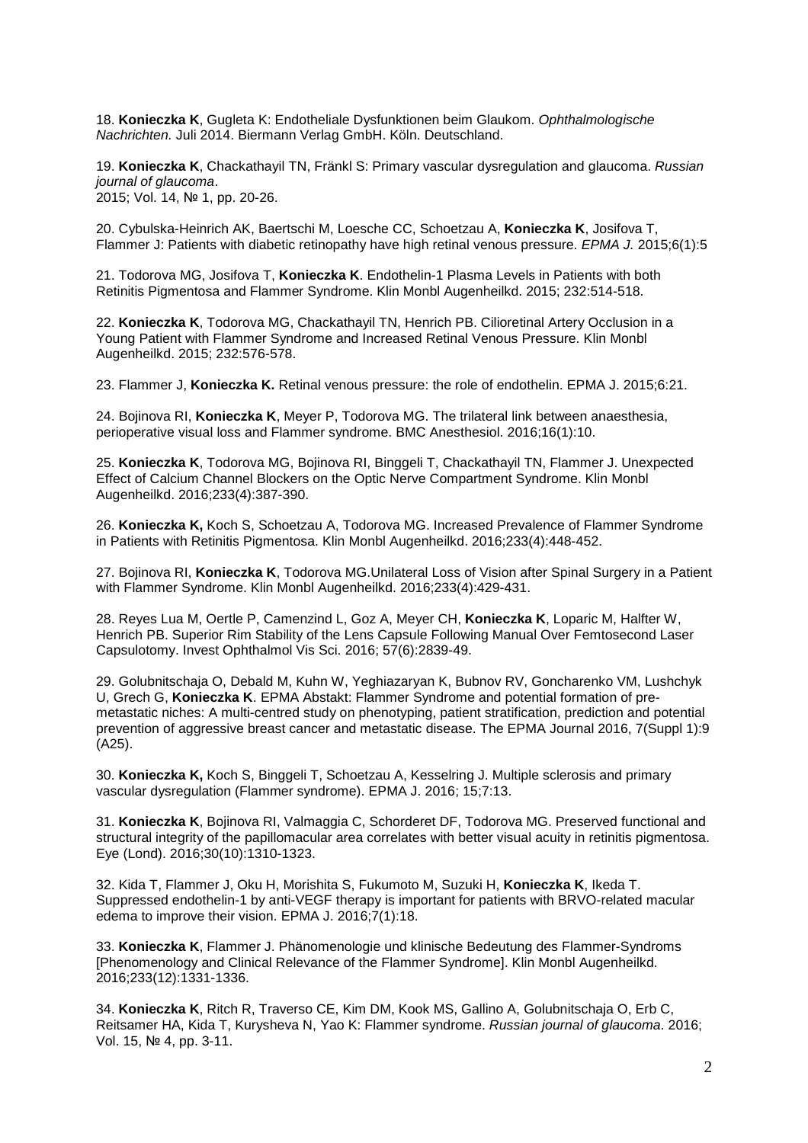18. **Konieczka K**, Gugleta K: Endotheliale Dysfunktionen beim Glaukom. Ophthalmologische Nachrichten. Juli 2014. Biermann Verlag GmbH. Köln. Deutschland.

19. **Konieczka K**, Chackathayil TN, Fränkl S: Primary vascular dysregulation and glaucoma. Russian journal of glaucoma. 2015; Vol. 14, № 1, pp. 20-26.

20. Cybulska-Heinrich AK, Baertschi M, Loesche CC, Schoetzau A, **Konieczka K**, Josifova T, Flammer J: Patients with diabetic retinopathy have high retinal venous pressure. EPMA J. 2015;6(1):5

21. Todorova MG, Josifova T, **Konieczka K**. Endothelin-1 Plasma Levels in Patients with both Retinitis Pigmentosa and Flammer Syndrome. Klin Monbl Augenheilkd. 2015; 232:514-518.

22. **Konieczka K**, Todorova MG, Chackathayil TN, Henrich PB. Cilioretinal Artery Occlusion in a Young Patient with Flammer Syndrome and Increased Retinal Venous Pressure. Klin Monbl Augenheilkd. 2015; 232:576-578.

23. Flammer J, **Konieczka K.** Retinal venous pressure: the role of endothelin. EPMA J. 2015;6:21.

24. Bojinova RI, **Konieczka K**, Meyer P, Todorova MG. The trilateral link between anaesthesia, perioperative visual loss and Flammer syndrome. BMC Anesthesiol. 2016;16(1):10.

25. **Konieczka K**, Todorova MG, Bojinova RI, Binggeli T, Chackathayil TN, Flammer J. Unexpected Effect of Calcium Channel Blockers on the Optic Nerve Compartment Syndrome. Klin Monbl Augenheilkd. 2016;233(4):387-390.

26. **Konieczka K,** Koch S, Schoetzau A, Todorova MG. Increased Prevalence of Flammer Syndrome in Patients with Retinitis Pigmentosa. Klin Monbl Augenheilkd. 2016;233(4):448-452.

27. Bojinova RI, **Konieczka K**, Todorova MG.Unilateral Loss of Vision after Spinal Surgery in a Patient with Flammer Syndrome. Klin Monbl Augenheilkd. 2016;233(4):429-431.

28. Reyes Lua M, Oertle P, Camenzind L, Goz A, Meyer CH, **Konieczka K**, Loparic M, Halfter W, Henrich PB. Superior Rim Stability of the Lens Capsule Following Manual Over Femtosecond Laser Capsulotomy. Invest Ophthalmol Vis Sci. 2016; 57(6):2839-49.

29. Golubnitschaja O, Debald M, Kuhn W, Yeghiazaryan K, Bubnov RV, Goncharenko VM, Lushchyk U, Grech G, **Konieczka K**. EPMA Abstakt: Flammer Syndrome and potential formation of premetastatic niches: A multi-centred study on phenotyping, patient stratification, prediction and potential prevention of aggressive breast cancer and metastatic disease. The EPMA Journal 2016, 7(Suppl 1):9 (A25).

30. **Konieczka K,** Koch S, Binggeli T, Schoetzau A, Kesselring J. Multiple sclerosis and primary vascular dysregulation (Flammer syndrome). EPMA J. 2016; 15;7:13.

31. **Konieczka K**, Bojinova RI, Valmaggia C, Schorderet DF, Todorova MG. Preserved functional and structural integrity of the papillomacular area correlates with better visual acuity in retinitis pigmentosa. Eye (Lond). 2016;30(10):1310-1323.

32. Kida T, Flammer J, Oku H, Morishita S, Fukumoto M, Suzuki H, **Konieczka K**, Ikeda T. Suppressed endothelin-1 by anti-VEGF therapy is important for patients with BRVO-related macular edema to improve their vision. EPMA J. 2016;7(1):18.

33. **Konieczka K**, Flammer J. Phänomenologie und klinische Bedeutung des Flammer-Syndroms [Phenomenology and Clinical Relevance of the Flammer Syndrome]. Klin Monbl Augenheilkd. 2016;233(12):1331-1336.

34. **Konieczka K**, Ritch R, Traverso CE, Kim DM, Kook MS, Gallino A, Golubnitschaja O, Erb C, Reitsamer HA, Kida T, Kurysheva N, Yao K: Flammer syndrome. Russian journal of glaucoma. 2016; Vol. 15, № 4, pp. 3-11.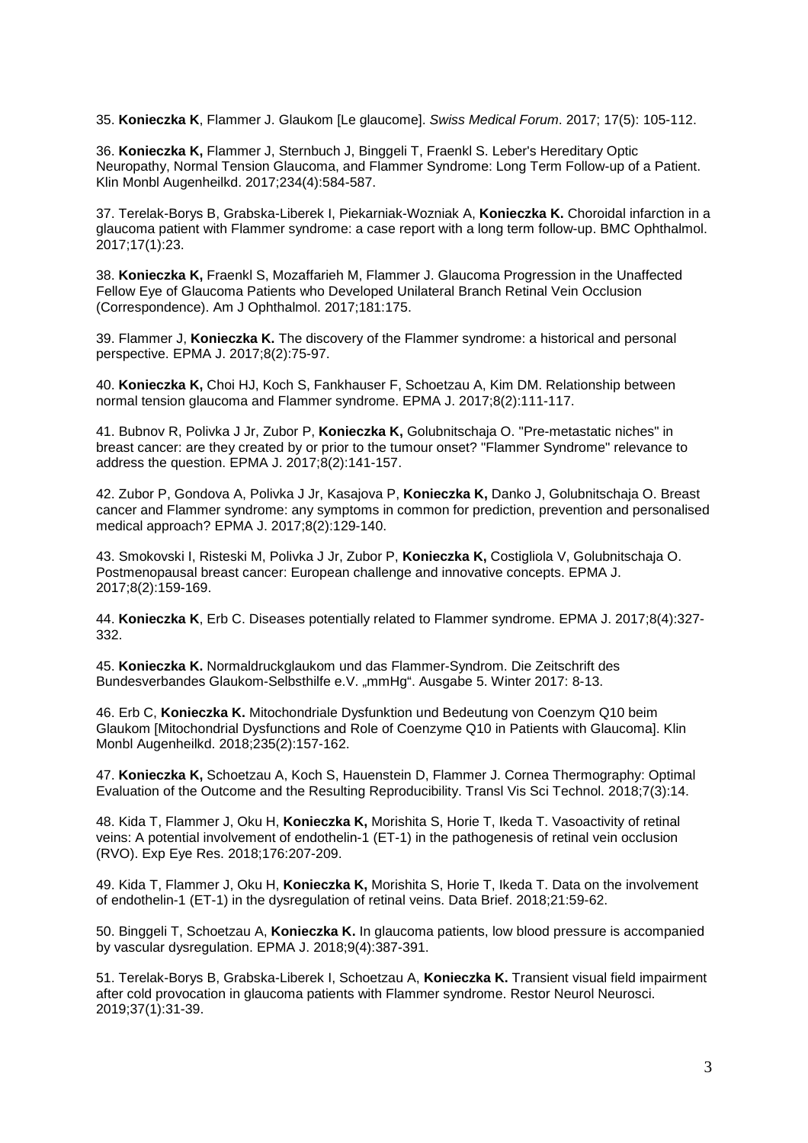35. **Konieczka K**, Flammer J. Glaukom [Le glaucome]. Swiss Medical Forum. 2017; 17(5): 105-112.

36. **Konieczka K,** Flammer J, Sternbuch J, Binggeli T, Fraenkl S. Leber's Hereditary Optic Neuropathy, Normal Tension Glaucoma, and Flammer Syndrome: Long Term Follow-up of a Patient. Klin Monbl Augenheilkd. 2017;234(4):584-587.

37. Terelak-Borys B, Grabska-Liberek I, Piekarniak-Wozniak A, **Konieczka K.** Choroidal infarction in a glaucoma patient with Flammer syndrome: a case report with a long term follow-up. BMC Ophthalmol. 2017;17(1):23.

38. **Konieczka K,** Fraenkl S, Mozaffarieh M, Flammer J. Glaucoma Progression in the Unaffected Fellow Eye of Glaucoma Patients who Developed Unilateral Branch Retinal Vein Occlusion (Correspondence). Am J Ophthalmol. 2017;181:175.

39. Flammer J, **Konieczka K.** The discovery of the Flammer syndrome: a historical and personal perspective. EPMA J. 2017;8(2):75-97.

40. **Konieczka K,** Choi HJ, Koch S, Fankhauser F, Schoetzau A, Kim DM. Relationship between normal tension glaucoma and Flammer syndrome. EPMA J. 2017;8(2):111-117.

41. Bubnov R, Polivka J Jr, Zubor P, **Konieczka K,** Golubnitschaja O. "Pre-metastatic niches" in breast cancer: are they created by or prior to the tumour onset? "Flammer Syndrome" relevance to address the question. EPMA J. 2017;8(2):141-157.

42. Zubor P, Gondova A, Polivka J Jr, Kasajova P, **Konieczka K,** Danko J, Golubnitschaja O. Breast cancer and Flammer syndrome: any symptoms in common for prediction, prevention and personalised medical approach? EPMA J. 2017;8(2):129-140.

43. Smokovski I, Risteski M, Polivka J Jr, Zubor P, **Konieczka K,** Costigliola V, Golubnitschaja O. Postmenopausal breast cancer: European challenge and innovative concepts. EPMA J. 2017;8(2):159-169.

44. **Konieczka K**, Erb C. Diseases potentially related to Flammer syndrome. EPMA J. 2017;8(4):327- 332.

45. **Konieczka K.** Normaldruckglaukom und das Flammer-Syndrom. Die Zeitschrift des Bundesverbandes Glaukom-Selbsthilfe e.V. "mmHg". Ausgabe 5. Winter 2017: 8-13.

46. Erb C, **Konieczka K.** Mitochondriale Dysfunktion und Bedeutung von Coenzym Q10 beim Glaukom [Mitochondrial Dysfunctions and Role of Coenzyme Q10 in Patients with Glaucoma]. Klin Monbl Augenheilkd. 2018;235(2):157-162.

47. **Konieczka K,** Schoetzau A, Koch S, Hauenstein D, Flammer J. Cornea Thermography: Optimal Evaluation of the Outcome and the Resulting Reproducibility. Transl Vis Sci Technol. 2018;7(3):14.

48. Kida T, Flammer J, Oku H, **Konieczka K,** Morishita S, Horie T, Ikeda T. Vasoactivity of retinal veins: A potential involvement of endothelin-1 (ET-1) in the pathogenesis of retinal vein occlusion (RVO). Exp Eye Res. 2018;176:207-209.

49. Kida T, Flammer J, Oku H, **Konieczka K,** Morishita S, Horie T, Ikeda T. Data on the involvement of endothelin-1 (ET-1) in the dysregulation of retinal veins. Data Brief. 2018;21:59-62.

50. Binggeli T, Schoetzau A, **Konieczka K.** In glaucoma patients, low blood pressure is accompanied by vascular dysregulation. EPMA J. 2018;9(4):387-391.

51. Terelak-Borys B, Grabska-Liberek I, Schoetzau A, **Konieczka K.** Transient visual field impairment after cold provocation in glaucoma patients with Flammer syndrome. Restor Neurol Neurosci. 2019;37(1):31-39.